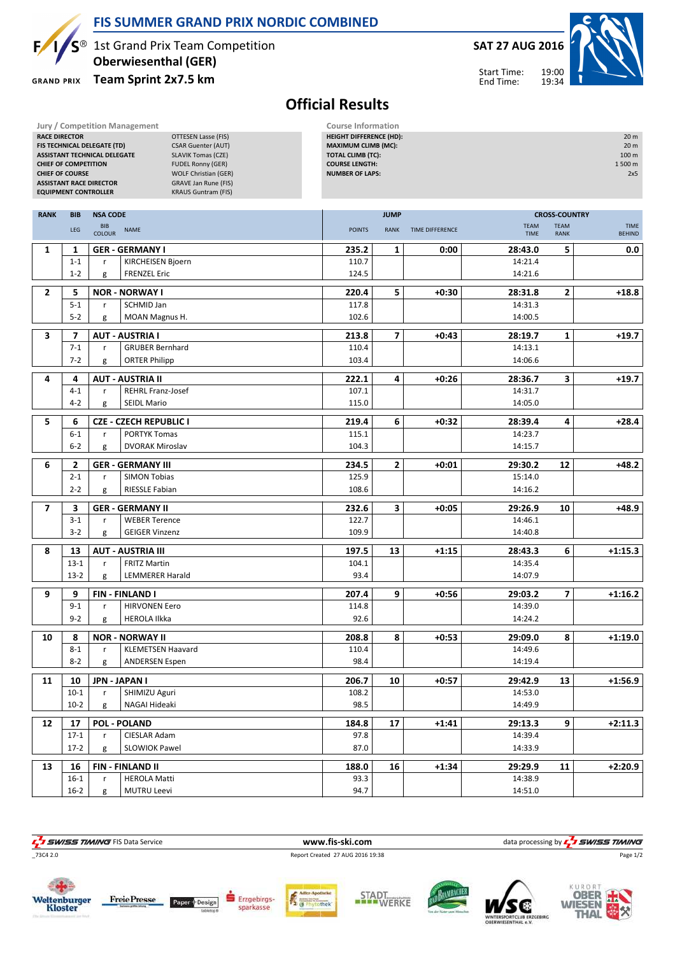

#### FIS SUMMER GRAND PRIX NORDIC COMBINED

 $S^{\circledast}$  1st Grand Prix Team Competition Oberwiesenthal (GER)

**GRAND PRIX** 

## Team Sprint 2x7.5 km

#### SAT 27 AUG 2016 19:00 19:34 Start Time:



End Time:

# Official Results

| <b>RACE DIRECTOR</b>    | <b>CHIEF OF COMPETITION</b><br><b>CHIEF OF COURSE</b><br><b>EQUIPMENT CONTROLLER</b> | <b>Jury / Competition Management</b><br>FIS TECHNICAL DELEGATE (TD)<br><b>ASSISTANT TECHNICAL DELEGATE</b><br><b>ASSISTANT RACE DIRECTOR</b> | <b>OTTESEN Lasse (FIS)</b><br><b>CSAR Guenter (AUT)</b><br><b>SLAVIK Tomas (CZE)</b><br><b>FUDEL Ronny (GER)</b><br><b>WOLF Christian (GER)</b><br><b>GRAVE Jan Rune (FIS)</b><br><b>KRAUS Guntram (FIS)</b> | <b>Course Information</b><br><b>HEIGHT DIFFERENCE (HD):</b><br><b>MAXIMUM CLIMB (MC):</b><br>TOTAL CLIMB (TC):<br><b>COURSE LENGTH:</b><br><b>NUMBER OF LAPS:</b> |                         |                 |                    |                            | 20 m<br>20 m<br>100 m<br>1500 m<br>2x5 |
|-------------------------|--------------------------------------------------------------------------------------|----------------------------------------------------------------------------------------------------------------------------------------------|--------------------------------------------------------------------------------------------------------------------------------------------------------------------------------------------------------------|-------------------------------------------------------------------------------------------------------------------------------------------------------------------|-------------------------|-----------------|--------------------|----------------------------|----------------------------------------|
| <b>RANK</b>             | <b>BIB</b>                                                                           | <b>NSA CODE</b>                                                                                                                              |                                                                                                                                                                                                              |                                                                                                                                                                   | <b>JUMP</b>             |                 |                    | <b>CROSS-COUNTRY</b>       |                                        |
|                         | LEG                                                                                  | <b>BIB</b><br><b>NAME</b><br><b>COLOUR</b>                                                                                                   |                                                                                                                                                                                                              | <b>POINTS</b>                                                                                                                                                     | <b>RANK</b>             | TIME DIFFERENCE | TEAM<br>TIME       | <b>TEAM</b><br><b>RANK</b> | <b>TIME</b><br><b>BEHIND</b>           |
| 1                       | 1                                                                                    | <b>GER - GERMANY I</b>                                                                                                                       |                                                                                                                                                                                                              | 235.2                                                                                                                                                             | 1                       | 0:00            | 28:43.0            | 5                          | 0.0                                    |
|                         | $1 - 1$                                                                              | KIRCHEISEN Bjoern<br>r                                                                                                                       |                                                                                                                                                                                                              | 110.7                                                                                                                                                             |                         |                 | 14:21.4            |                            |                                        |
|                         | $1 - 2$                                                                              | <b>FRENZEL Eric</b><br>g                                                                                                                     |                                                                                                                                                                                                              | 124.5                                                                                                                                                             |                         |                 | 14:21.6            |                            |                                        |
| $\overline{\mathbf{2}}$ | 5                                                                                    | <b>NOR - NORWAY I</b>                                                                                                                        |                                                                                                                                                                                                              |                                                                                                                                                                   | 5                       | $+0:30$         | 28:31.8            | $\mathbf{2}$               | $+18.8$                                |
|                         | $5 - 1$                                                                              | SCHMID Jan<br>r                                                                                                                              |                                                                                                                                                                                                              | 117.8                                                                                                                                                             |                         |                 | 14:31.3            |                            |                                        |
|                         | $5 - 2$                                                                              | MOAN Magnus H.<br>g                                                                                                                          |                                                                                                                                                                                                              | 102.6                                                                                                                                                             |                         |                 | 14:00.5            |                            |                                        |
| 3                       | $\overline{\mathbf{z}}$                                                              | <b>AUT - AUSTRIA I</b>                                                                                                                       |                                                                                                                                                                                                              | 213.8                                                                                                                                                             | $\overline{\mathbf{z}}$ | $+0:43$         | 28:19.7            | $\mathbf{1}$               | $+19.7$                                |
|                         | $7-1$                                                                                | <b>GRUBER Bernhard</b><br>r                                                                                                                  |                                                                                                                                                                                                              | 110.4                                                                                                                                                             |                         |                 | 14:13.1            |                            |                                        |
|                         | $7 - 2$                                                                              | <b>ORTER Philipp</b><br>g                                                                                                                    |                                                                                                                                                                                                              | 103.4                                                                                                                                                             |                         |                 | 14:06.6            |                            |                                        |
| 4                       | 4                                                                                    |                                                                                                                                              |                                                                                                                                                                                                              |                                                                                                                                                                   | 4                       |                 |                    |                            |                                        |
|                         | $4 - 1$                                                                              | <b>AUT - AUSTRIA II</b><br><b>REHRL Franz-Josef</b><br>r                                                                                     |                                                                                                                                                                                                              | 222.1<br>107.1                                                                                                                                                    |                         | $+0:26$         | 28:36.7<br>14:31.7 | 3                          | $+19.7$                                |
|                         | $4 - 2$                                                                              | <b>SEIDL Mario</b><br>g                                                                                                                      |                                                                                                                                                                                                              | 115.0                                                                                                                                                             |                         |                 | 14:05.0            |                            |                                        |
|                         |                                                                                      |                                                                                                                                              |                                                                                                                                                                                                              |                                                                                                                                                                   |                         |                 |                    |                            |                                        |
| 5                       | 6                                                                                    | <b>CZE - CZECH REPUBLIC I</b>                                                                                                                |                                                                                                                                                                                                              | 219.4                                                                                                                                                             | 6                       | $+0:32$         | 28:39.4            | 4                          | $+28.4$                                |
|                         | $6-1$<br>$6 - 2$                                                                     | <b>PORTYK Tomas</b><br>r<br><b>DVORAK Miroslav</b><br>g                                                                                      |                                                                                                                                                                                                              | 115.1<br>104.3                                                                                                                                                    |                         |                 | 14:23.7<br>14:15.7 |                            |                                        |
|                         |                                                                                      |                                                                                                                                              |                                                                                                                                                                                                              |                                                                                                                                                                   |                         |                 |                    |                            |                                        |
| 6                       | 2                                                                                    | <b>GER - GERMANY III</b>                                                                                                                     |                                                                                                                                                                                                              | 234.5                                                                                                                                                             | $\mathbf{2}$            | $+0:01$         | 29:30.2            | 12                         | $+48.2$                                |
|                         | $2 - 1$<br>$2 - 2$                                                                   | <b>SIMON Tobias</b><br>r<br>RIESSLE Fabian                                                                                                   |                                                                                                                                                                                                              | 125.9                                                                                                                                                             |                         |                 | 15:14.0<br>14:16.2 |                            |                                        |
|                         |                                                                                      | g                                                                                                                                            |                                                                                                                                                                                                              | 108.6                                                                                                                                                             |                         |                 |                    |                            |                                        |
| $\overline{7}$          | 3                                                                                    | <b>GER - GERMANY II</b>                                                                                                                      |                                                                                                                                                                                                              | 232.6                                                                                                                                                             | 3                       | $+0:05$         | 29:26.9            | 10                         | $+48.9$                                |
|                         | $3 - 1$                                                                              | <b>WEBER Terence</b><br>r                                                                                                                    |                                                                                                                                                                                                              | 122.7                                                                                                                                                             |                         |                 | 14:46.1            |                            |                                        |
|                         | $3 - 2$                                                                              | <b>GEIGER Vinzenz</b><br>g                                                                                                                   |                                                                                                                                                                                                              | 109.9                                                                                                                                                             |                         |                 | 14:40.8            |                            |                                        |
| 8                       | 13                                                                                   | <b>AUT - AUSTRIA III</b>                                                                                                                     |                                                                                                                                                                                                              | 197.5                                                                                                                                                             | 13                      | $+1:15$         | 28:43.3            | 6                          | $+1:15.3$                              |
|                         | $13-1$                                                                               | <b>FRITZ Martin</b><br>r                                                                                                                     |                                                                                                                                                                                                              | 104.1                                                                                                                                                             |                         |                 | 14:35.4            |                            |                                        |
|                         | $13-2$                                                                               | <b>LEMMERER Harald</b><br>g                                                                                                                  |                                                                                                                                                                                                              | 93.4                                                                                                                                                              |                         |                 | 14:07.9            |                            |                                        |
| 9                       | 9                                                                                    | <b>FIN-FINLAND I</b>                                                                                                                         |                                                                                                                                                                                                              | 207.4                                                                                                                                                             | 9                       | $+0:56$         | 29:03.2            | $\overline{7}$             | $+1:16.2$                              |
|                         | $9 - 1$                                                                              | <b>HIRVONEN Eero</b><br>r                                                                                                                    |                                                                                                                                                                                                              | 114.8                                                                                                                                                             |                         |                 | 14:39.0            |                            |                                        |
|                         | $9 - 2$                                                                              | <b>HEROLA Ilkka</b><br>g                                                                                                                     |                                                                                                                                                                                                              | 92.6                                                                                                                                                              |                         |                 | 14:24.2            |                            |                                        |
| 10                      | 8                                                                                    | <b>NOR - NORWAY II</b>                                                                                                                       |                                                                                                                                                                                                              | 208.8                                                                                                                                                             | 8                       | $+0:53$         | 29:09.0            | 8                          | $+1:19.0$                              |
|                         | $8 - 1$                                                                              | <b>KLEMETSEN Haavard</b><br>r                                                                                                                |                                                                                                                                                                                                              | 110.4                                                                                                                                                             |                         |                 | 14:49.6            |                            |                                        |
|                         | $8 - 2$                                                                              | <b>ANDERSEN Espen</b><br>g                                                                                                                   |                                                                                                                                                                                                              | 98.4                                                                                                                                                              |                         |                 | 14:19.4            |                            |                                        |
| 11                      | 10                                                                                   | JPN - JAPAN I                                                                                                                                |                                                                                                                                                                                                              | 206.7                                                                                                                                                             | 10                      | $+0:57$         | 29:42.9            | 13                         | $+1:56.9$                              |
|                         | $10-1$                                                                               | SHIMIZU Aguri<br>r                                                                                                                           |                                                                                                                                                                                                              | 108.2                                                                                                                                                             |                         |                 | 14:53.0            |                            |                                        |
|                         | $10-2$                                                                               | NAGAI Hideaki<br>g                                                                                                                           |                                                                                                                                                                                                              | 98.5                                                                                                                                                              |                         |                 | 14:49.9            |                            |                                        |
| 12                      | 17                                                                                   | <b>POL - POLAND</b>                                                                                                                          |                                                                                                                                                                                                              | 184.8                                                                                                                                                             | 17                      | $+1:41$         | 29:13.3            | 9                          | $+2:11.3$                              |
|                         | $17-1$                                                                               | CIESLAR Adam<br>r                                                                                                                            |                                                                                                                                                                                                              | 97.8                                                                                                                                                              |                         |                 | 14:39.4            |                            |                                        |
|                         | $17-2$                                                                               | <b>SLOWIOK Pawel</b><br>g                                                                                                                    |                                                                                                                                                                                                              | 87.0                                                                                                                                                              |                         |                 | 14:33.9            |                            |                                        |
|                         |                                                                                      |                                                                                                                                              |                                                                                                                                                                                                              |                                                                                                                                                                   |                         |                 |                    |                            |                                        |
| 13                      | 16<br>$16-1$                                                                         | <b>FIN - FINLAND II</b><br><b>HEROLA Matti</b><br>r                                                                                          |                                                                                                                                                                                                              | 188.0<br>93.3                                                                                                                                                     | 16                      | $+1:34$         | 29:29.9<br>14:38.9 | 11                         | $+2:20.9$                              |
|                         | $16-2$                                                                               | <b>MUTRU Leevi</b><br>g                                                                                                                      |                                                                                                                                                                                                              | 94.7                                                                                                                                                              |                         |                 | 14:51.0            |                            |                                        |
|                         |                                                                                      |                                                                                                                                              |                                                                                                                                                                                                              |                                                                                                                                                                   |                         |                 |                    |                            |                                        |